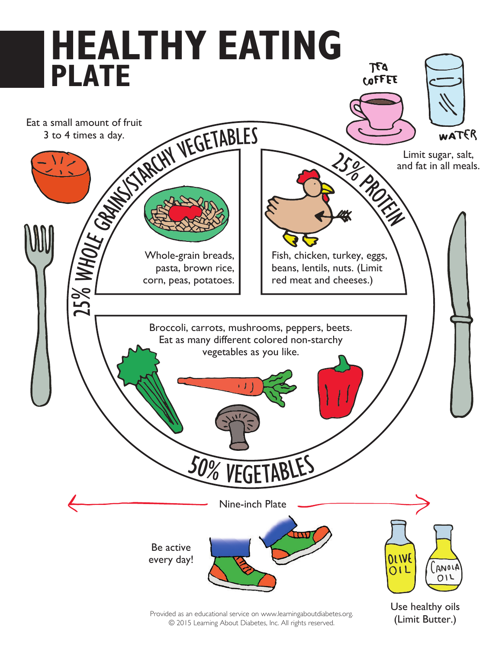

Provided as an educational service on www.learningaboutdiabetes.org. © 2015 Learning About Diabetes, Inc. All rights reserved.

(Limit Butter.)